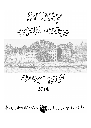SYDWEY VN UMDED





2014

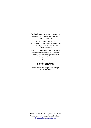This book contains a selection of dances submitted for Sydney Branch Dance Competition in 2013.

They were independently and anonymously evaluated for a try-out Day of Dance prior to the 2014 Annual General Meeting.

In addition, the dance C'Est si Bon has been added as a tribute to Catherine Bonner, who was an inspiration to all dancers in Sydney.

Thanks to

# Olivia Roberts

for the cover and the graphics designs used in this book.

**Published by**: RSCDS Sydney Branch Inc. Available from Sydney Branch Bookshop: [SydBranBooks@gmail.com](mailto:SydBranBooks@gmail.com)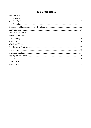## **Table of Contents**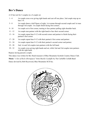### <span id="page-3-0"></span>**Bev's Dance**

A 32 bar reel for 3 couples in a 4 couple set.

- 1 4 1st couple cross over giving right hands and cast off one place. 2nd couple step up on bars 3-4.
- 5 8 1st couple dance a half figure of eight, 1st woman through second couple and 1st man through 3rd couple. 1st couple finish facing first corners.
- 9 10 1st couple set to first corner, turning to face partner pulling right shoulder back.
- 11 12 1st couple turn partner with the right hand to face their second corner.
- 13 16 1st couple repeat bars 9-12 with second corner and partner to finish facing their partner's first corner.
- 17 20 1st couple repeat bars 9-12 with their partner's first corner and partner.
- 21 24 1st couple repeat bars 9-12 with their partner's second corner and partner.
- 25 28 2nd, 1st and 3rd couples turn partners with the left hand.
- 29 32 1st couple cross giving right hands and set, while 2nd and 3rd couples turn partners with the right hand.

Repeat, having passed a couple.

This dance was written for Bev Rush treasurer of Blue Mountains Scottish Country Dance Club. **Music:** "*A Set of Reels (Hornpipes)*" from *Muckle Carfuffle* by The Carfuffle Ceilidh Band Dance devised by Bob Reyswood, Blue Mountains SCD Inc.

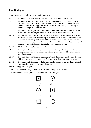## <span id="page-4-0"></span>**The Biologist**

32 bar reel for three couples in a four-couple longwise set

- 1 4 1st couple set and cast off to second place. 2nd couple step up on bars 3-4.
- 5 8 1st couple giving right hands turn one and a quarter time to finish in the middle with the man above his partner facing her. Meanwhile 2nd man casts off, followed by his partner, to third place on opposite sides **while** 3rd woman casts up, followed by her partner, to first place on opposite sides.
- 9 12 1st man with 3rd couple and 1st woman with 2nd couple dance left hands across once round.1st couple finish right shoulder to each other in the middle of the set.
- 13 16 1st man, followed by 3rd woman and 3rd man, dances down the women's side of the set, across the set in third place and up to second place on own side. 3rd couple finish in original places on opposite sides. At the same time 1st woman, followed by 2nd man and 2nd woman, dance up the men's side, across at first place and down to second place on own side. 2nd couple finish in first place on opposite sides.
- 17 20 All dance clockwise half way round the set.
- 21 24 1st couple with 3rd woman and 2nd man dance half diagonal reels of four. 1st woman giving right shoulder to 3rd woman and 1st man giving right shoulder to 2nd man to start (See figure).
- 25 28 1st couple dance half diagonal rights and lefts with 2nd woman and 3rd man. 1st man with 2nd woman and 1st woman with 3rd man giving right hands to commence.
- 29 32 1st man giving left shoulder to 2nd woman and 1st woman giving left shoulder to 3rd man dance half reels of three across the dance.

Repeat, having passed a couple.

**Music:** "*Ian Powrie's Hornpipe"* from *The Etive Collection* by Alastair Hunter.

Devised by Gillian Carter, Sydney, as a sister dance to the Zoologist.



Top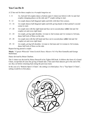#### <span id="page-5-0"></span>**You Can Do It**

A 32 bar reel for three couples in a 4-couple longwise set.

- 1 8 1st, 2nd and 3rd couples dance a bottom open U-chain (see below) with 1st and 2nd couples changing places on the side and  $3<sup>rd</sup>$  couple setting to start.
- 9 12 1st couple dances half diagonal rights and lefts with their first corners.
- 13 16 1st couple dances half diagonal rights and lefts giving hands to their partner's second corner to start.
- 17 20 1st couple turn with the right hand and face out in second place *while* 2nd and 3rd couples set and cross right hand.
- 21 24 1st couple, giving right shoulder, 1st man to 2nd woman and 1st woman to 3rd man, dance half reels of three on the side.
- 25 28 1st couple turn with the left hand and face out in second place *while* 2nd and 3rd couples set and cross right hand.
- 29 32 1st couple, giving left shoulder, 1st man to 2nd man and 1st woman to 3rd woman, dance half reels of three on the side.

Repeat having passed a couple.

**Music:** "*Captain Whiteside*" from *Scottish Dance Masters Vol 4* by Ron Gonnella and George McIlwham.

Dance devised by Brian Charlton.

The U-chain was devised by Heinz Deuwell in his Tighes Hill book. It follows the form of a Grand Chain, except that all cases the giving of hands take 2 bars and when dancers get to the end of the set, they set before returning back along the previous track.

In the case of a "Bottom Open U-Chain", the setting is in third place. For a "Top Open U-Chain", setting would be in first place.

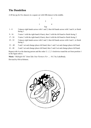#### <span id="page-6-0"></span>**The Dandelion**

A 48 bar jig for five dancers in a square set with fifth dancer in the middle.



- 1 8 5 dances right hands across with 1 and 2, then left hands across with 3 and 4, to finish facing 1.
- 9 16 5 turns 1 with the right hand (4 bars), then 3 with the left hand to finish facing 2.
- 17 24 5 turns 2 with the right hand (4 bars), then 4 with the left hand to finish facing 2.
- 25 32 5 dances right hands across with 2 and 3, then left hands across with 4 and 1, to finish facing 1.
- 33 40 5 and 1 set and change places left hand, then 1 and 2 set and change places left hand.
- 41 48 2 and 3 set and change places left hand, then 3 and 4 set and change places left hand.

Repeat with 4 as the dancing person and the order 5, 1, 2, 3 clockwise round the set from position 1 in the figure above.

**Music:** "*Midnight Oil"*.from *Take Your Partners For …. Vol 2* by LukeBrady.

Devised by Olivia Roberts.

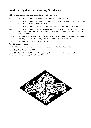### <span id="page-7-0"></span>**Southern Highlands Anniversary Strathspey**

A 32 bar strathspey for three couples in a three-couple longwise set.

- 1 4 1st, 2nd & 3rd couples set and giving right hands to partner cross over.
- 5 8 1st, 2nd  $\&$  3rd couples set and giving left hands turn partner halfway to finish in the middle of the set facing up in promenade hold.
- 9 16 1st, 2nd & 3rd couples dance a promenade back to place; 2nd couple finish facing out.
- 17 22 1st, 2nd & 3rd couples dance reels of three on the sides. To begin, 1st couple dance in and down, 2nd couple dance out and up and 3rd couple dance in and up. At end of reels, 2nd couple face out.
- 23 24 1st couple dance in and down to 2nd place staying in the middle to face down, 2nd couple dance up to first place, 3rd couple dance in to middle to face 1st couple.
- 25 32 1st couple and 3rd couple dance a Rondel.

Repeat from new positions.

**Music:** *"You Cannot Go Wrong"* from *Oxford Connections* by The Craigellachie Band.

Devised by Helen Wales, June, 2006.

Devised for the Southern Highlands Scottish Country Dancers for their 20<sup>th</sup> Anniversary. First danced at the Annual Social, 2nd September 2006.

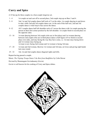## <span id="page-8-0"></span>**Curry and Spice**

A 32 bar jig for three couples in a four-couple longwise set.

- 1 4 1st couple set and cast off to second place; 2nd couple step up on Bars 3 and 4.
- 5 8 2nd, 1st and 3rd couples dance half reels of 3 on the sides; 1st couple dancing in and down to start, while 2nd and 3rd couples dance out. At the end of this half reel, 2nd and 3rd couples dance a wide loop to face across the dance.
- 9 -12 All 3 couples dance half left shoulder reels of 3 across the dance with 1st couple passing the person in their first corner position by the left shoulder. 1st couple finish in second place on the opposite sides.
- 13 16 1st man dancing between 3rd couple (who are in first place) and 1st woman dancing between 2nd couple (who are in third place) dance a half figure of 8 to finish in second place own sides, and stay facing the way they have come, i.e. 1st man stays facing down and 1st woman stays facing up. 1st man is now facing 2nd woman and 1st woman is facing 3rd man.
- 17 24 1st man and 2nd woman, likewise 1st woman and 3rd man, set twice and giving right hands turn once round.
- 25 32 3rd, 1st and 2nd couples dance diagonal rights and lefts.

Repeat having passed a couple.

Music: *The Tripitup Troupe* from *A' the Best from Banffshire* by Colin Dewar

Devised by Shunmugam Govindasamy (Govin)

Govin is well known for his cooking of Curry and Spice dishes.

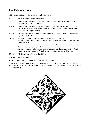## <span id="page-9-0"></span>**The Calanais Stones**

A 32 bar reel for four couples in a four-couple longwise set.

- 1 8 All dance eight hands round and back.
- 9 12 2nd and 3rd couples dance right hands across WHILE 1st and 4th couples dance clockwise half way round the set.
- 13 16 2nd and 3rd couples dance left hands across WHILE 1st and 4th couples clockwise back to place (note at end of right hands across and left hands back, dancers should briefly form a diagonal cross).
- 17 20 On their own side 1st couple turn 2nd couple and 3rd couple turn 4th couple with the right hand to place.
- 21 24 1st, 2nd, 3rd, and 4th couples dance a set and link for 4 couples: 1st and 2nd men and 3rd and 4th ladies dance forward as 3rd and 4th men and 1st and 2nd ladies cast. On the men's side, 1st man dances to second place, 2nd man dances to fourth place, 3rd man casts to first place and 4th man casts to 3rd place. On the women's side, 1st woman casts to second place, 2nd woman casts to fourth place, 3rd woman dances to first place and 4th woman dances to third place.
- 25 32 All dance a reel of four on the sidelines.

Repeat with a new top couple.

**Music:** *Acklam Reels* from *Vallin Suite 2* by David Cunningham.

Devised by Aidan McElduff following a visit to the stones in 2013. The Callanais (or Callanish) Stones are on the Isle of Lewis in the Outer Hebrides and are estimated to have been erected 4,000 to 5,000 years ago.

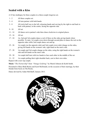#### <span id="page-10-0"></span>**Sealed with a Kiss**

A 32 bar strathspey for three couples in a three-couple longwise set.

- 1 2 All three couples set.
- 3 4 All turn partner with both hands.
- 5 8 All circle half way to the left, releasing hands and curving by the right to end back to back with partner, in the centre, facing the opposite side.
- 9 10 All set.
- 11 14 All dance out to partner's side then chase clockwise to original places.
- 15 16 All set.
- 17 24 1st, 2nd and 3rd couples dance a reel of three on the sides giving hands where possible. To start, 1st couple cross down through second place to dance the reel on the opposite sides while 2nd couple dance out and up.
- 25 26 1st couple (on the opposite side) and 2nd couple (own side) change on the sides, giving left hands on the womens' side, right hand on the men's side.
- 27 28 1st couple and 3rd couple change on the sides, using the right hands on the women's side and left hands on the men's side.
- 29 30 1st couple half turn with two hands to face each other in the middle of the set.
- 31 32 1st couple pulling their right shoulder back, cast to their own sides.

Repeat with a new top couple.

**Music:** "*The Partnership*" from *"Vintage Goldring"* by Muriel Johnson & Keith Smith.

Presented to Mary-Beth Beirne and Scott McDonald, on the occasion of their marriage, by their friends from Scots on The Rocks.

Dance devised by Aidan McElduff, January 2013.

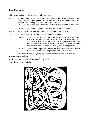## <span id="page-11-0"></span>**The Crannog.**

A 32 bar reel for four couples in a four-couple longwise set..

- 1 8 1st couple with 2nd couple and 3rd couple with 4th couple all set, dance diagonally towards the centre, then, pulling back the right shoulder, dance out to the next place clockwise, then set to partner facing up and down the set. i.e. 2nd and 4th couples on the men's side, 1st and 3rd couples on the women's side.
- 9 16 All giving right shoulder to partner dance a reel of four on the sideline.
- 17 24 Repeat bars 1-8, all finish on the opposite side in the order 2, 1, 4, 3.
- 25 28 1st and 4th couples dance the first four bars of an espagnole:
	- 25 26 1st and 4th women, giving right hands, dance towards the women's side, passing between their partners. On bar 26, 1st woman passes 4th woman across in front of her so that 4th woman dances up towards second place while 1st woman dances down towards third place. Meanwhile 1st and 4th men dance across to the men's side passing outside their partners.
	- 27 28 1st and 4th men repeat the women's crossing in bars 25-26 as the women dance across to the men's side passing outside their partners.

29 - 32 All four couples set and, giving right hands to partners, cross to their own side. Repeat from new positions.

**Music:** "*Dancing in the Street*" from *Book 42* by Marian Anderson.

Dance devised by Olivia Roberts.

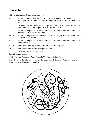### <span id="page-12-0"></span>**Katoomba**

A 32 bar strathspey for 4 couples in a square set.

- 1 4 1st and 3rd couples set and petronella in tandem to finish with 1st couple in front of 4th couple and 3rd couple in front of 2nd couple, all facing towards the centre of the set.
- 5 8 All four couples take nearer hands with partners.1st and 3rd couples set advancing to pass, while 2nd and 4th couples set. All set advancing to pass.
- 9 12 1st and 3rd couples half turn with two hands to face in *while* 2nd and 4th couples set advancing to pass. All set advancing.
- 13 16 1st and 3rd couples set advancing *while* 2nd and 4th couples half turn with two hands to face in. All set advancing.
- 17 18 1st and 3rd couples half turn with two hands to face in *while* 2nd and 4th couples set without passing.
- 19 20 2nd and 4th couples petronella in tandem to 3rd and 1st places.
- 21 24 2nd and 4th couples dance half rights and lefts
- 25 32 All dance 8 hands round and back.

Repeat from new places.

**Music:** *"George Washington Bridge"* from *Celtic Fire 2* by Bobby Brown.

Dance devised by Pat Charlton to celebrate the annual Branch Katoomba Weekend, where the dancers gather to dance and mix together.

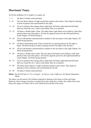#### <span id="page-13-0"></span>**Morrisons' Fancy**

An 88 bar strathspey for 4 couples in a square set.

- 1 8 All dance 8 hands round and back.
- 9 16 The men dance figures of eight round their partners and corners. They begin by dancing in front of partner and round behind by the right.
- 17 24 All set to partners then change places right hand, left hand, right hand and left hand half-way round the set (1 step to each hand), then set to partners.
- 25 32 All dance a double ladies' chain. The ladies dance right hands across halfway while their partners dance into their places. All turn the opposite person by the left hand halfway round. Repeat. All finish facing in.
- 33 40 All set with partners and petronella in tandem to the next place to the right. Repeat. All finish facing partners.
- 41 48 All dance interlocking reels of four around the set, passing partners by the right to begin. All finish facing in (Ladies looping round by the right on the last bar.)
- 49 56 All set with partners and petronella in tandem to the next place to the right. Repeat. All finish facing partners.
- 57 64 All dance a double men's chain. The men dance left hands across halfway while their partners dance into their places. All turn the opposite person by the right hand halfway round. Repeat. All finish facing partners.
- 65 72 All set to partners then change places right hand, left hand, right hand and left hand half-way round the set (1 step to each hand), then set to partners.
- 73 80 The ladies dance figures of eight round their partners and corners. They begin by dancing in front of partner and round behind by the left.
- 81 88 All dance 8 hands round and back.
- **Music:** The first 88 bars of "*City of Angels"* on *Dances with a Difference* by Muriel Johnstone's Band.

The dance was devised by Pat Charlton inspired by dancing in the home of John and Jenita Morrison whose lounge room has a wooden floor and a large bow window the width of the room. Hence the square set which will sit well within the bowed end of the room.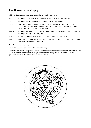### <span id="page-14-0"></span>**The Illawarra Strathspey.**

A 32 bar strathspey for three couples in a three-couple longwise set.

- 1 4 1st couple set and cast to second place, 2nd couple step up on bars 3-4.
- 5 8 1st couple dance a half figure of eight around the 2nd couple.
- 9 16 2nd, 1st and 3rd couples dance reels of three on the sides. 1st couple joining nearer hands to dance down into the reel, 2nd and 3rd couples dancing in to touch nearer hands before casting into the reels.
- 17 24 1st couple lead down for four steps, 1st man turns his partner under his right arm and 1st couple lead up to second place.
- 25 28 1st and 3rd couples set and dance right hands across halfway round.
- 29 32 2nd couple turn with two hands once round **while** 1st and 3rd third couples turn with two hands one and a half times round

Repeat with a new top couple.

#### **Music**: "*The Star*" from *Book 28* by Jimmy Lindsay.

This dance was devised by grateful Scottish Country Dancers and dedicated to William Crawford Scott on 1st December, 1985 to celebrate 35 years of Scottish Country Dancing in the Illawarra and symbolises the three Dance Groups then active in the area.

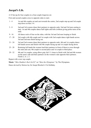## <span id="page-15-0"></span>**Jacqui's Lib.**

A 32 bar jig for four couples in a four-couple longwise set.

First and second couples cross to opposite sides to start.

- 1 4 1st and 4th couples set and cast towards the centre, 2nd couple step up and 3rd couple step down on bars 3-4.
- 5 8 2nd and 3rd women chase their partners to opposite ends, 2nd and 3rd men casting to start. 1st and 4th couples dance half rights and lefts (without giving polite turns at the end).
- 9 16 All dance reels of four on the sides, with the 3rd and 2nd men looping to finish.
- 17 20 3rd couple with 4th couple and 1st couple with 2nd couple dance right hands across. 3rd and 2nd men finish facing out.
- 21 24 3rd and 2nd women chase their partners to opposite ends. 4th and 1st couples dance left hands across and finish with 4th couple facing up and 1st couple facing down.
- 25 28 Retaining left hands the women lead their partners in front of them to cross through the ends and cast, 4th couple to second place and 1st couple to third place.
- 29 32 4th and 1st couples, using elbow grip, birl  $1\frac{1}{2}$  times to finish with 2nd and 4th women on the men's side and their partners on the women's side opposite their partners. Finish 2, 4, 1, 3.

Repeat with a new top couple.

**Music:** "*Miss Hadden's Reel (4x32)*" on "*Meet the Olympians"* by The Olympians.

Dance devised by Morton Jay for Jacqui Brocker's 21st birthday.

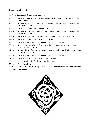### <span id="page-16-0"></span>**There and Back**

An 80 bar strathspey for 4 couples in a square set.

- 1 8 All dance interlocking reels of four, passing partners by the right to start and finish facing partner.
- 9 10 The four men dance left hands across ¾ *while* the four women dance clockwise one place round the set.
- 11 12 All half turn partners with the right hand.
- 13 14 The four women dance left hands across ¾ *while* the four men dance clockwise one place round the set.
- 15 16 All turn partners 1¼ with the right hand to finish with the women facing out.
- 17 24 All dance schiehallion reels back to original places.
- 25 32 All dance a double men's chain to finish with the women facing out.
- 33 40 The women dance a figure of eight round their partner and corner, dancing round behind their partner to start.
- 41 48 The men dance a figure of eight round their partner and corner, dancing round in front of their partner to start.
- 49 56 All dance a double men's chain to finish with the women facing out.
- 57 64 All dance schiehallion reels back to opposite places.
- $65 72$  Repeat bars  $9 16$  to finish back in original places.
- 73 80 Repeat bars  $1 8$ .

**Music:** The first 80 bars of *Branches Together* from *Reel On* by Jim Lindsay and Muriel Johnstone. Devised by Pat Charlton.

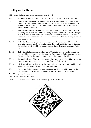### <span id="page-17-0"></span>**Reeling on the Rocks**

A 32 bar reel for three couples in a four-couple longwise set.

- 1 4 1st couple giving right hands cross over and cast off. 2nd couple step on bars 3-4.
- 5 8 2nd and 3rd couples turn 3/4 with the right hand to finish in the centre with woman facing down and man facing up. Meanwhile, 1st couple, giving left hands cross and cast to the left, woman to finish behind 2nd woman facing down and man to finish behind 3rd man facing up.
- 9 16 2nd and 3rd couples dance a reel of four in the middle of the dance with 1st woman following 2nd woman and 1st man following 3rd man, but on bar 12 the lead changes so that 1st woman leads 2nd woman through the reel and 1st man leads 3rd man through the reel. 1st couple finish in the middle with the 1st woman facing up and 1st man facing down.
- 17 18 2nd and 3rd couples, giving right hands to partner, change places and finish with 2nd couple facing down and 3rd couple facing up. 1st couple cast to the right to finish in the middle with left shoulder to partner, 1st man facing down and 1st woman facing up.
- 19 22 2nd, 1st and 3rd couples dance a half reel of four in the centre, with 1st man giving right shoulder to 3rd couple and 1st woman right shoulder to 2nd couple and 2nd and 3rd couples dancing in tandem.  $1<sup>st</sup>$  couple pass left shoulder on bar 22.
- 23 24 1st couple, giving left hands, turn to second place on opposite sides **while** 2nd and 3rd couples dance out to the opposite sides and face out. Order is 3, 1, 2.
- 25 28 All dance half reels of three across the dance, with 1st man giving left shoulder to 3rd woman and 1st woman giving left shoulder to 2nd man.
- 29 32 3rd, 1st and 2nd couples dance half reels of three on the sides, with 1st man giving right shoulder to 2nd man and 1st woman giving right shoulder to 3rd woman.

Repeat having passed a couple.

Dance devised by Aidan McElduff.

**Music:** *"The Drunken Sailor"* from *Catch the Wind* by The Music Makars.

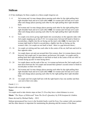#### <span id="page-18-0"></span>**Sùilean**

A 32 bar strathspey for three couples in a three-couple longwise set.

- 1 4 3rd woman and 1st man change places passing each other by the right pulling their right shoulder back and set to each other **while** 1st woman and 3rd man set to each other and change places passing each other by the right pulling their right shoulder back.
- 5 8 3rd woman and 1st man change places passing each other by the right pulling their right shoulder back and set to each other **while** 1st woman and 3rd man set to each other and change places passing each other by the right pulling their right shoulder back.
- 9 12 1st couple cross down giving right hands into second place on the opposite sides with 2nd couple stepping up on bars 9-10. 1st woman turns 3rd man left hand to finish in second place, slightly into the set facing out the men's side **while** 1st man turns 3rd woman right hand to finish in second place, slightly into the set facing out the women's side. (1st couple are not back to back - there is a gap between them.)
- 13 16 1st couple set retiring and face each other in the centre of the set, half turn and twirl to face opposite sides.
- 17 20 1st couple dance out and cast around their first corners, then 1st woman dances down between 2nd couple and 1st man dances up between 3rd couple. 1st couple end by pulling back their right shoulders to end back-to-back in the centre of the set with 1st woman facing up and 1st man facing down.
- 21 24 1st couple dance out the ends of the set, 1st woman up between the 2nd couple and 1st man down between the 3rd couple and around their partner's second corner to finish in second place on their own sides.
- 25 28 3rd woman and 1st man change places passing each other by the right pulling their right shoulder back and set to each other **while** 1st woman and 3rd man set to each other and change places passing each other by the right pulling their right shoulder back.
- 29 32 1st couple and 3rd couple half turn with the right hand to face one another and then cast out to their own sides.

Finish 2, 3, 1.

Repeat with a new top couple.

#### **Notes:**

1st couple need to take shorter steps on bars 21-24 as they have a short distance to cover.

**Music:** "*The Slopes of Hilderandi*" from *The Devil's Quandary* by D B Grosjean & A Imbrie.

Dance devised by Michael Darby – 2012.

Sùilean (pronounced Soo *Lurn)* is the Scottish Gaelic word for Eyes. Eye contact with your partner and the other dancers is important for maintaining the phrasing and the essence of the dance.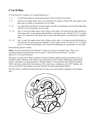### <span id="page-19-0"></span>**C'est Si Bon.**

A 32 bar Reel for 3 couples in a 4 couple longwise set.

- 1 4 1st and 2nd couples set advancing and turn with two hands to face down.
- 5 8 2nd and 1st couples dance down, cast up behind 3rd couple to finish with 2nd couple in first place and 1st couple in second place on own sides.
- 9 16 1st couple dance up between second couple, cast off to second place, turn with the right hand and face out in second place on own sides.
- 17 24 2nd, 1st and 3rd couples dance reels of three on the sides, 1st woman giving right shoulder to 3rd woman and 1st man giving right shoulder to 2nd man to start. On bars 23-24, 1st couple cross, 1st woman from first place and 1st man from third place to second place on opposite sides.
- 25 32 2nd, 1st and 3rd couples dance reels of three on the sides, 1st woman giving left shoulder to 3rd man and 1st man giving left shoulder to 2nd woman to start. On bars 31-32, 1st couple cross, 1st woman from first place and 1st man from third place to second place on own sides.

Repeat having passed a couple.

**Music:** The tune selected by Chris Duncan is *Culburnie Cottage* by Alastair Fraser. There is no recording using this as the lead tune, but is used in *"The Royal Deeside Railway"* on *More Memories of a Scottish Weekend*.

The dance was devised by Brian Charlton to honour Catherine Bonner for her long term service to Scottish Country Dancing in the Sydney area, particularly to the St John's Wahroonga and Gosford Classes. The dance was programmed as a 'Mystery Dance' for the Gosford Class Social in February 2010, with music selected by Chris Duncan. The Social was a celebration of her  $80<sup>th</sup>$  birthday, her service to Gosford Class and her receiving a Branch Award through Sydney Branch.

The title refers to Catherine having been born in France, her name and her reputation in the Sydney area.